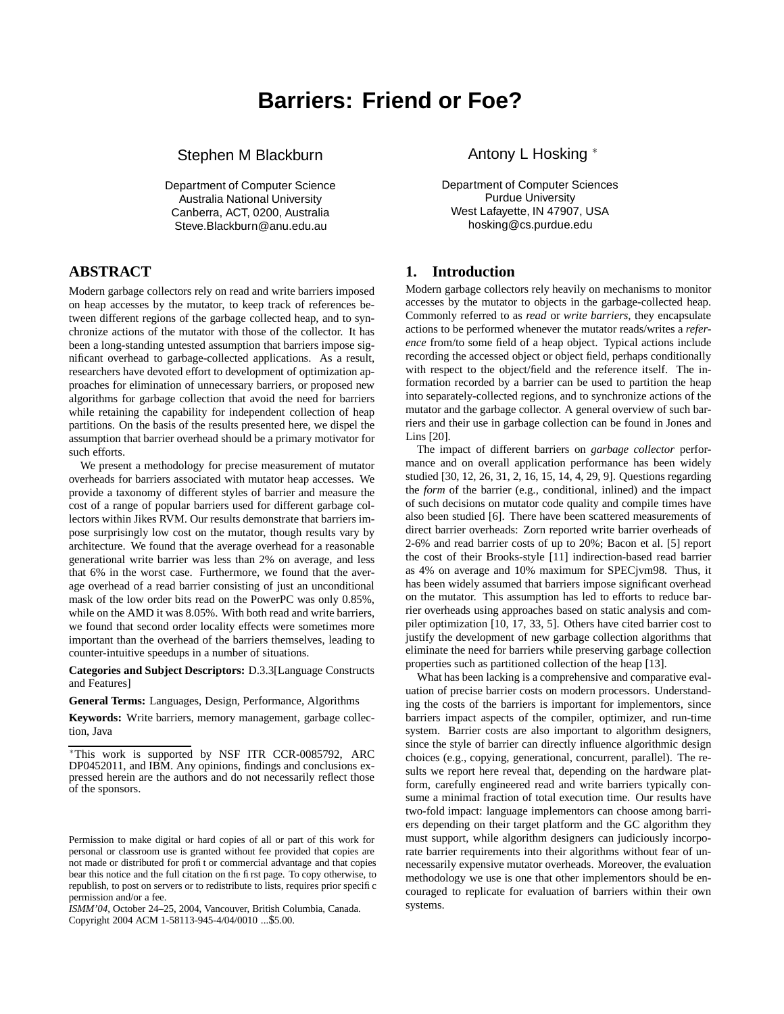# **Barriers: Friend or Foe?**

Stephen M Blackburn

Department of Computer Science Australia National University Canberra, ACT, 0200, Australia Steve.Blackburn@anu.edu.au

# **ABSTRACT**

Modern garbage collectors rely on read and write barriers imposed on heap accesses by the mutator, to keep track of references between different regions of the garbage collected heap, and to synchronize actions of the mutator with those of the collector. It has been a long-standing untested assumption that barriers impose significant overhead to garbage-collected applications. As a result, researchers have devoted effort to development of optimization approaches for elimination of unnecessary barriers, or proposed new algorithms for garbage collection that avoid the need for barriers while retaining the capability for independent collection of heap partitions. On the basis of the results presented here, we dispel the assumption that barrier overhead should be a primary motivator for such efforts.

We present a methodology for precise measurement of mutator overheads for barriers associated with mutator heap accesses. We provide a taxonomy of different styles of barrier and measure the cost of a range of popular barriers used for different garbage collectors within Jikes RVM. Our results demonstrate that barriers impose surprisingly low cost on the mutator, though results vary by architecture. We found that the average overhead for a reasonable generational write barrier was less than 2% on average, and less that 6% in the worst case. Furthermore, we found that the average overhead of a read barrier consisting of just an unconditional mask of the low order bits read on the PowerPC was only 0.85%, while on the AMD it was 8.05%. With both read and write barriers, we found that second order locality effects were sometimes more important than the overhead of the barriers themselves, leading to counter-intuitive speedups in a number of situations.

**Categories and Subject Descriptors:** D.3.3[Language Constructs and Features]

**General Terms:** Languages, Design, Performance, Algorithms

**Keywords:** Write barriers, memory management, garbage collection, Java

Antony L Hosking <sup>∗</sup>

Department of Computer Sciences Purdue University West Lafayette, IN 47907, USA hosking@cs.purdue.edu

# **1. Introduction**

Modern garbage collectors rely heavily on mechanisms to monitor accesses by the mutator to objects in the garbage-collected heap. Commonly referred to as *read* or *write barriers*, they encapsulate actions to be performed whenever the mutator reads/writes a *reference* from/to some field of a heap object. Typical actions include recording the accessed object or object field, perhaps conditionally with respect to the object/field and the reference itself. The information recorded by a barrier can be used to partition the heap into separately-collected regions, and to synchronize actions of the mutator and the garbage collector. A general overview of such barriers and their use in garbage collection can be found in Jones and Lins [20].

The impact of different barriers on *garbage collector* performance and on overall application performance has been widely studied [30, 12, 26, 31, 2, 16, 15, 14, 4, 29, 9]. Questions regarding the *form* of the barrier (e.g., conditional, inlined) and the impact of such decisions on mutator code quality and compile times have also been studied [6]. There have been scattered measurements of direct barrier overheads: Zorn reported write barrier overheads of 2-6% and read barrier costs of up to 20%; Bacon et al. [5] report the cost of their Brooks-style [11] indirection-based read barrier as 4% on average and 10% maximum for SPECjvm98. Thus, it has been widely assumed that barriers impose significant overhead on the mutator. This assumption has led to efforts to reduce barrier overheads using approaches based on static analysis and compiler optimization [10, 17, 33, 5]. Others have cited barrier cost to justify the development of new garbage collection algorithms that eliminate the need for barriers while preserving garbage collection properties such as partitioned collection of the heap [13].

What has been lacking is a comprehensive and comparative evaluation of precise barrier costs on modern processors. Understanding the costs of the barriers is important for implementors, since barriers impact aspects of the compiler, optimizer, and run-time system. Barrier costs are also important to algorithm designers, since the style of barrier can directly influence algorithmic design choices (e.g., copying, generational, concurrent, parallel). The results we report here reveal that, depending on the hardware platform, carefully engineered read and write barriers typically consume a minimal fraction of total execution time. Our results have two-fold impact: language implementors can choose among barriers depending on their target platform and the GC algorithm they must support, while algorithm designers can judiciously incorporate barrier requirements into their algorithms without fear of unnecessarily expensive mutator overheads. Moreover, the evaluation methodology we use is one that other implementors should be encouraged to replicate for evaluation of barriers within their own systems.

<sup>∗</sup>This work is supported by NSF ITR CCR-0085792, ARC DP0452011, and IBM. Any opinions, findings and conclusions expressed herein are the authors and do not necessarily reflect those of the sponsors.

Permission to make digital or hard copies of all or part of this work for personal or classroom use is granted without fee provided that copies are not made or distributed for profit or commercial advantage and that copies bear this notice and the full citation on the first page. To copy otherwise, to republish, to post on servers or to redistribute to lists, requires prior specific permission and/or a fee.

*ISMM'04,* October 24–25, 2004, Vancouver, British Columbia, Canada. Copyright 2004 ACM 1-58113-945-4/04/0010 ...\$5.00.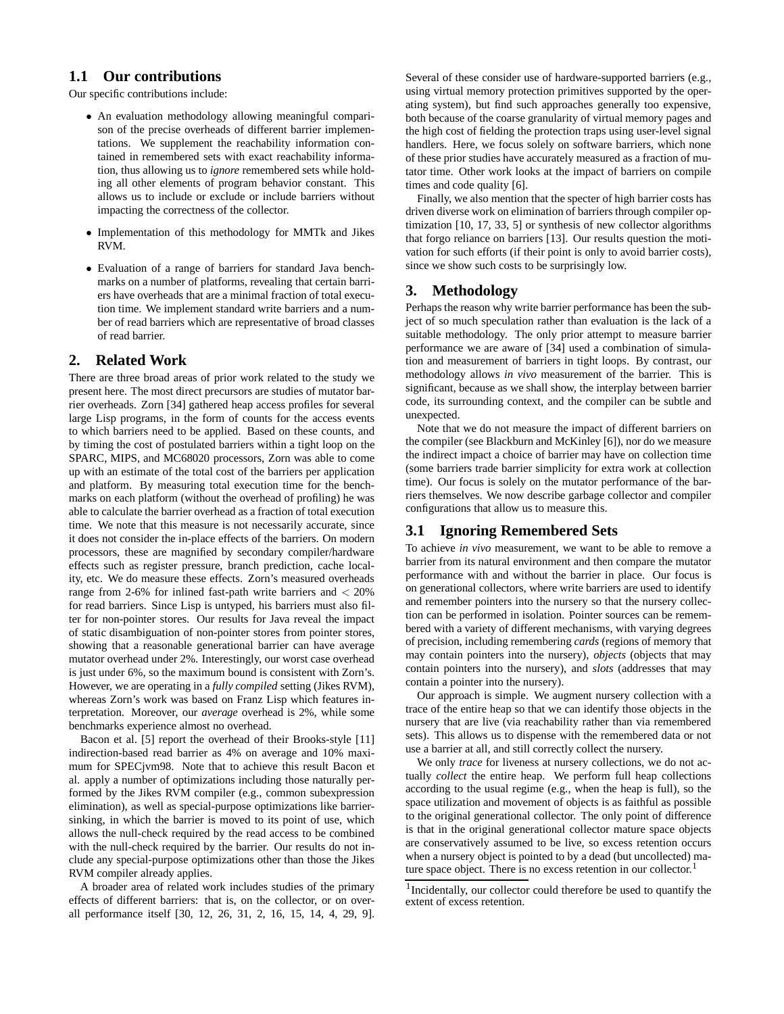# **1.1 Our contributions**

Our specific contributions include:

- An evaluation methodology allowing meaningful comparison of the precise overheads of different barrier implementations. We supplement the reachability information contained in remembered sets with exact reachability information, thus allowing us to *ignore* remembered sets while holding all other elements of program behavior constant. This allows us to include or exclude or include barriers without impacting the correctness of the collector.
- Implementation of this methodology for MMTk and Jikes RVM.
- Evaluation of a range of barriers for standard Java benchmarks on a number of platforms, revealing that certain barriers have overheads that are a minimal fraction of total execution time. We implement standard write barriers and a number of read barriers which are representative of broad classes of read barrier.

## **2. Related Work**

There are three broad areas of prior work related to the study we present here. The most direct precursors are studies of mutator barrier overheads. Zorn [34] gathered heap access profiles for several large Lisp programs, in the form of counts for the access events to which barriers need to be applied. Based on these counts, and by timing the cost of postulated barriers within a tight loop on the SPARC, MIPS, and MC68020 processors, Zorn was able to come up with an estimate of the total cost of the barriers per application and platform. By measuring total execution time for the benchmarks on each platform (without the overhead of profiling) he was able to calculate the barrier overhead as a fraction of total execution time. We note that this measure is not necessarily accurate, since it does not consider the in-place effects of the barriers. On modern processors, these are magnified by secondary compiler/hardware effects such as register pressure, branch prediction, cache locality, etc. We do measure these effects. Zorn's measured overheads range from 2-6% for inlined fast-path write barriers and < 20% for read barriers. Since Lisp is untyped, his barriers must also filter for non-pointer stores. Our results for Java reveal the impact of static disambiguation of non-pointer stores from pointer stores, showing that a reasonable generational barrier can have average mutator overhead under 2%. Interestingly, our worst case overhead is just under 6%, so the maximum bound is consistent with Zorn's. However, we are operating in a *fully compiled* setting (Jikes RVM), whereas Zorn's work was based on Franz Lisp which features interpretation. Moreover, our *average* overhead is 2%, while some benchmarks experience almost no overhead.

Bacon et al. [5] report the overhead of their Brooks-style [11] indirection-based read barrier as 4% on average and 10% maximum for SPECjvm98. Note that to achieve this result Bacon et al. apply a number of optimizations including those naturally performed by the Jikes RVM compiler (e.g., common subexpression elimination), as well as special-purpose optimizations like barriersinking, in which the barrier is moved to its point of use, which allows the null-check required by the read access to be combined with the null-check required by the barrier. Our results do not include any special-purpose optimizations other than those the Jikes RVM compiler already applies.

A broader area of related work includes studies of the primary effects of different barriers: that is, on the collector, or on overall performance itself [30, 12, 26, 31, 2, 16, 15, 14, 4, 29, 9]. Several of these consider use of hardware-supported barriers (e.g., using virtual memory protection primitives supported by the operating system), but find such approaches generally too expensive, both because of the coarse granularity of virtual memory pages and the high cost of fielding the protection traps using user-level signal handlers. Here, we focus solely on software barriers, which none of these prior studies have accurately measured as a fraction of mutator time. Other work looks at the impact of barriers on compile times and code quality [6].

Finally, we also mention that the specter of high barrier costs has driven diverse work on elimination of barriers through compiler optimization [10, 17, 33, 5] or synthesis of new collector algorithms that forgo reliance on barriers [13]. Our results question the motivation for such efforts (if their point is only to avoid barrier costs), since we show such costs to be surprisingly low.

## **3. Methodology**

Perhaps the reason why write barrier performance has been the subject of so much speculation rather than evaluation is the lack of a suitable methodology. The only prior attempt to measure barrier performance we are aware of [34] used a combination of simulation and measurement of barriers in tight loops. By contrast, our methodology allows *in vivo* measurement of the barrier. This is significant, because as we shall show, the interplay between barrier code, its surrounding context, and the compiler can be subtle and unexpected.

Note that we do not measure the impact of different barriers on the compiler (see Blackburn and McKinley [6]), nor do we measure the indirect impact a choice of barrier may have on collection time (some barriers trade barrier simplicity for extra work at collection time). Our focus is solely on the mutator performance of the barriers themselves. We now describe garbage collector and compiler configurations that allow us to measure this.

## **3.1 Ignoring Remembered Sets**

To achieve *in vivo* measurement, we want to be able to remove a barrier from its natural environment and then compare the mutator performance with and without the barrier in place. Our focus is on generational collectors, where write barriers are used to identify and remember pointers into the nursery so that the nursery collection can be performed in isolation. Pointer sources can be remembered with a variety of different mechanisms, with varying degrees of precision, including remembering *cards* (regions of memory that may contain pointers into the nursery), *objects* (objects that may contain pointers into the nursery), and *slots* (addresses that may contain a pointer into the nursery).

Our approach is simple. We augment nursery collection with a trace of the entire heap so that we can identify those objects in the nursery that are live (via reachability rather than via remembered sets). This allows us to dispense with the remembered data or not use a barrier at all, and still correctly collect the nursery.

We only *trace* for liveness at nursery collections, we do not actually *collect* the entire heap. We perform full heap collections according to the usual regime (e.g., when the heap is full), so the space utilization and movement of objects is as faithful as possible to the original generational collector. The only point of difference is that in the original generational collector mature space objects are conservatively assumed to be live, so excess retention occurs when a nursery object is pointed to by a dead (but uncollected) mature space object. There is no excess retention in our collector.<sup>1</sup>

<sup>&</sup>lt;sup>1</sup>Incidentally, our collector could therefore be used to quantify the extent of excess retention.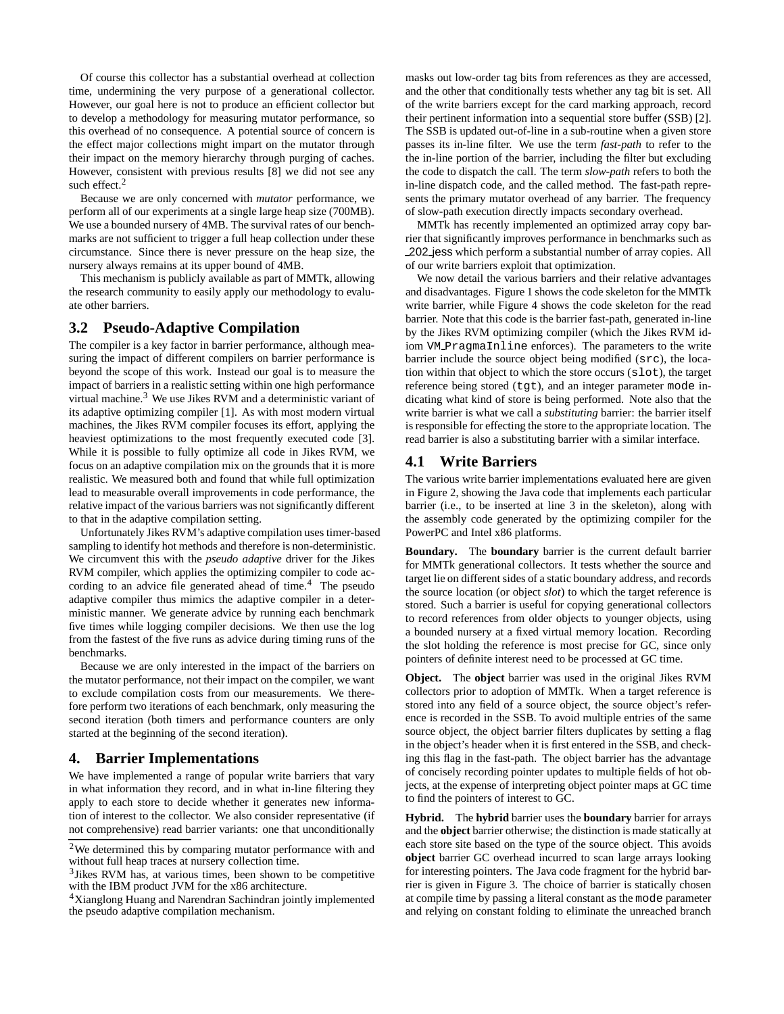Of course this collector has a substantial overhead at collection time, undermining the very purpose of a generational collector. However, our goal here is not to produce an efficient collector but to develop a methodology for measuring mutator performance, so this overhead of no consequence. A potential source of concern is the effect major collections might impart on the mutator through their impact on the memory hierarchy through purging of caches. However, consistent with previous results [8] we did not see any such effect.<sup>2</sup>

Because we are only concerned with *mutator* performance, we perform all of our experiments at a single large heap size (700MB). We use a bounded nursery of 4MB. The survival rates of our benchmarks are not sufficient to trigger a full heap collection under these circumstance. Since there is never pressure on the heap size, the nursery always remains at its upper bound of 4MB.

This mechanism is publicly available as part of MMTk, allowing the research community to easily apply our methodology to evaluate other barriers.

#### **3.2 Pseudo-Adaptive Compilation**

The compiler is a key factor in barrier performance, although measuring the impact of different compilers on barrier performance is beyond the scope of this work. Instead our goal is to measure the impact of barriers in a realistic setting within one high performance virtual machine. $3$  We use Jikes RVM and a deterministic variant of its adaptive optimizing compiler [1]. As with most modern virtual machines, the Jikes RVM compiler focuses its effort, applying the heaviest optimizations to the most frequently executed code [3]. While it is possible to fully optimize all code in Jikes RVM, we focus on an adaptive compilation mix on the grounds that it is more realistic. We measured both and found that while full optimization lead to measurable overall improvements in code performance, the relative impact of the various barriers was not significantly different to that in the adaptive compilation setting.

Unfortunately Jikes RVM's adaptive compilation uses timer-based sampling to identify hot methods and therefore is non-deterministic. We circumvent this with the *pseudo adaptive* driver for the Jikes RVM compiler, which applies the optimizing compiler to code according to an advice file generated ahead of time. $4$  The pseudo adaptive compiler thus mimics the adaptive compiler in a deterministic manner. We generate advice by running each benchmark five times while logging compiler decisions. We then use the log from the fastest of the five runs as advice during timing runs of the benchmarks.

Because we are only interested in the impact of the barriers on the mutator performance, not their impact on the compiler, we want to exclude compilation costs from our measurements. We therefore perform two iterations of each benchmark, only measuring the second iteration (both timers and performance counters are only started at the beginning of the second iteration).

#### **4. Barrier Implementations**

We have implemented a range of popular write barriers that vary in what information they record, and in what in-line filtering they apply to each store to decide whether it generates new information of interest to the collector. We also consider representative (if not comprehensive) read barrier variants: one that unconditionally

masks out low-order tag bits from references as they are accessed, and the other that conditionally tests whether any tag bit is set. All of the write barriers except for the card marking approach, record their pertinent information into a sequential store buffer (SSB) [2]. The SSB is updated out-of-line in a sub-routine when a given store passes its in-line filter. We use the term *fast-path* to refer to the the in-line portion of the barrier, including the filter but excluding the code to dispatch the call. The term *slow-path* refers to both the in-line dispatch code, and the called method. The fast-path represents the primary mutator overhead of any barrier. The frequency of slow-path execution directly impacts secondary overhead.

MMTk has recently implemented an optimized array copy barrier that significantly improves performance in benchmarks such as 202 jess which perform a substantial number of array copies. All of our write barriers exploit that optimization.

We now detail the various barriers and their relative advantages and disadvantages. Figure 1 shows the code skeleton for the MMTk write barrier, while Figure 4 shows the code skeleton for the read barrier. Note that this code is the barrier fast-path, generated in-line by the Jikes RVM optimizing compiler (which the Jikes RVM idiom VM PragmaInline enforces). The parameters to the write barrier include the source object being modified (src), the location within that object to which the store occurs (slot), the target reference being stored (tgt), and an integer parameter mode indicating what kind of store is being performed. Note also that the write barrier is what we call a *substituting* barrier: the barrier itself is responsible for effecting the store to the appropriate location. The read barrier is also a substituting barrier with a similar interface.

#### **4.1 Write Barriers**

The various write barrier implementations evaluated here are given in Figure 2, showing the Java code that implements each particular barrier (i.e., to be inserted at line 3 in the skeleton), along with the assembly code generated by the optimizing compiler for the PowerPC and Intel x86 platforms.

**Boundary.** The **boundary** barrier is the current default barrier for MMTk generational collectors. It tests whether the source and target lie on different sides of a static boundary address, and records the source location (or object *slot*) to which the target reference is stored. Such a barrier is useful for copying generational collectors to record references from older objects to younger objects, using a bounded nursery at a fixed virtual memory location. Recording the slot holding the reference is most precise for GC, since only pointers of definite interest need to be processed at GC time.

**Object.** The **object** barrier was used in the original Jikes RVM collectors prior to adoption of MMTk. When a target reference is stored into any field of a source object, the source object's reference is recorded in the SSB. To avoid multiple entries of the same source object, the object barrier filters duplicates by setting a flag in the object's header when it is first entered in the SSB, and checking this flag in the fast-path. The object barrier has the advantage of concisely recording pointer updates to multiple fields of hot objects, at the expense of interpreting object pointer maps at GC time to find the pointers of interest to GC.

**Hybrid.** The **hybrid** barrier uses the **boundary** barrier for arrays and the **object** barrier otherwise; the distinction is made statically at each store site based on the type of the source object. This avoids **object** barrier GC overhead incurred to scan large arrays looking for interesting pointers. The Java code fragment for the hybrid barrier is given in Figure 3. The choice of barrier is statically chosen at compile time by passing a literal constant as the mode parameter and relying on constant folding to eliminate the unreached branch

<sup>&</sup>lt;sup>2</sup>We determined this by comparing mutator performance with and without full heap traces at nursery collection time.

<sup>&</sup>lt;sup>3</sup> Jikes RVM has, at various times, been shown to be competitive with the IBM product JVM for the x86 architecture.

<sup>&</sup>lt;sup>4</sup>Xianglong Huang and Narendran Sachindran jointly implemented the pseudo adaptive compilation mechanism.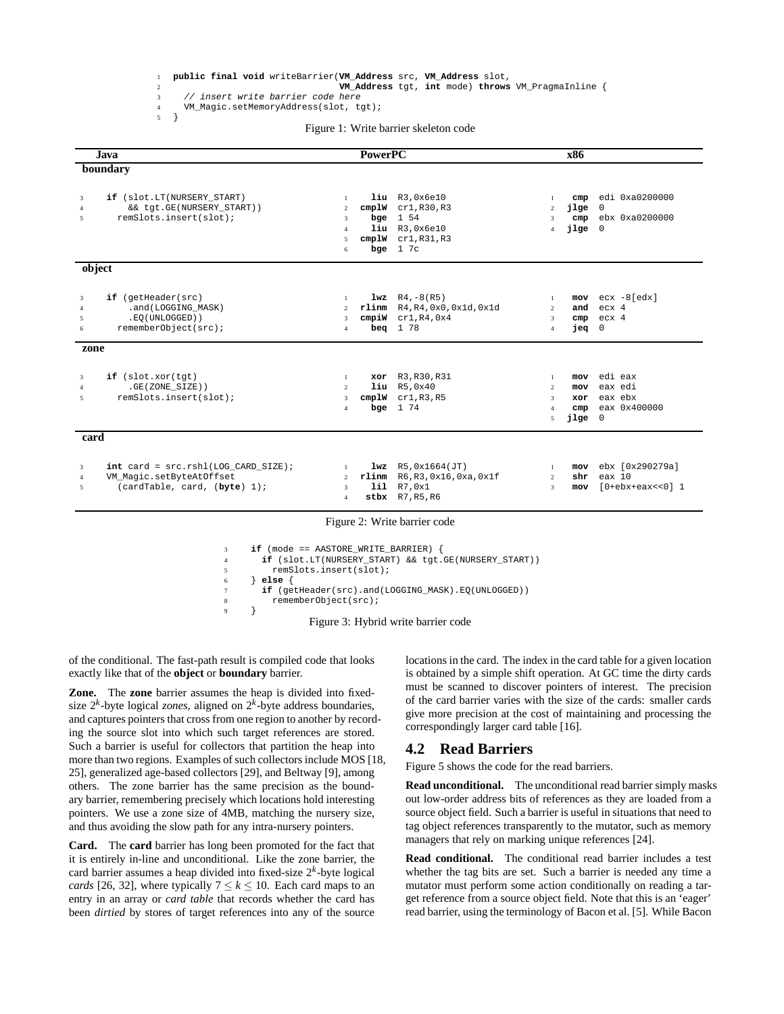#### 1 **public final void** writeBarrier(**VM\_Address** src, **VM\_Address** slot,

2 **VM\_Address** tgt, **int** mode) **throws** VM\_PragmaInline {

- / insert write barrier code here
- 4 VM\_Magic.setMemoryAddress(slot, tgt); 5 }

Figure 1: Write barrier skeleton code

| Java                                       | <b>PowerPC</b>          |                                        | <b>x86</b>              |                 |                    |
|--------------------------------------------|-------------------------|----------------------------------------|-------------------------|-----------------|--------------------|
| boundary                                   |                         |                                        |                         |                 |                    |
|                                            |                         |                                        |                         |                 |                    |
| if (slot.LT(NURSERY_START)<br>3            | $\mathbf{1}$            | liu R3,0x6e10                          | $\overline{1}$          | $_{\text{cmp}}$ | edi 0xa0200000     |
| && tgt.GE(NURSERY START))<br>$\Delta$      | cmp1W<br>$\mathfrak{D}$ | cr1, R30, R3                           | 2                       | jlge            | $\mathbf 0$        |
| remSlots.insert(slot);<br>$\sim$           | bge<br>3                | 1 54                                   | 3                       | $_{\text{cmp}}$ | ebx 0xa0200000     |
|                                            | $\overline{4}$          | liu R3,0x6e10                          | $\overline{4}$          | $1$ ge $0$      |                    |
|                                            | 5<br>6                  | $cmp1W$ $cr1, R31, R3$<br>$b$ ge $17c$ |                         |                 |                    |
|                                            |                         |                                        |                         |                 |                    |
| object                                     |                         |                                        |                         |                 |                    |
| $if$ (qetHeader(src)<br>3                  | $\mathbf{1}$            | <b>lwz</b> $R4, -8(R5)$                | $\mathbf{1}$            | mov             | ecx -8[edx]        |
| .and(LOGGING MASK)<br>$\overline{4}$       | 2                       | $rlimm$ $R4, R4, 0x0, 0x1d, 0x1d$      | 2                       | and             | ecx 4              |
| .EO (UNLOGGED))<br>$\overline{5}$          | 3                       | $cmpiW$ $cr1, R4, 0x4$                 | 3                       | cmp             | ecx 4              |
| rememberObject(src);<br>6                  | $\overline{4}$          | begin 178                              | $\overline{4}$          | $j$ eq $0$      |                    |
| zone                                       |                         |                                        |                         |                 |                    |
| if (slot.xor(tgt))<br>3                    | xor<br>$\mathbf{1}$     | R3, R30, R31                           | 1                       | mov             | edi eax            |
| .GE(ZONE SIZE))<br>$\overline{4}$          | $\mathfrak{D}$          | $liu$ R5, 0x40                         | 2                       | mov             | eax edi            |
| remSlots.insert(slot);<br>$\overline{5}$   | cmp1W<br>$\mathcal{R}$  | cr1, R3, R5                            | $\overline{\mathbf{3}}$ | xor             | eax ebx            |
|                                            | $\overline{4}$          | <b>bge</b> 1 74                        | $\overline{4}$          | cmp             | eax 0x400000       |
|                                            |                         |                                        | $\overline{5}$          | ilge            | $\overline{0}$     |
| card                                       |                         |                                        |                         |                 |                    |
| $int card = src.rshl(LOG_CARD_SIZE);$<br>3 | $\mathbf{1}$            | <b>lwz</b> $R5, 0x1664(JT)$            | $\mathbf{1}$            | mov             | ebx [0x290279a]    |
| VM_Magic.setByteAtOffset<br>$\overline{4}$ | $\overline{2}$          | $rlimm$ R6, R3, 0x16, 0xa, 0x1f        | $\overline{2}$          | shr             | $eax$ 10           |
| (cardTable, card, (byte) 1);<br>$\sim$     | $\overline{\mathbf{3}}$ | 1i1 R7,0x1                             | $\mathbf{3}$            | mov             | $[0+ebx+eax<<0]$ 1 |
|                                            | $\overline{4}$          | $stbx$ $R7, R5, R6$                    |                         |                 |                    |
|                                            |                         |                                        |                         |                 |                    |

Figure 2: Write barrier code

 **if** (mode == AASTORE\_WRITE\_BARRIER) { **if** (slot.LT(NURSERY\_START) && tgt.GE(NURSERY\_START)) remSlots.insert(slot); 6 } **else** { **if** (getHeader(src).and(LOGGING\_MASK).EQ(UNLOGGED)) rememberObject(src); 9 } Figure 3: Hybrid write barrier code

of the conditional. The fast-path result is compiled code that looks exactly like that of the **object** or **boundary** barrier.

**Zone.** The **zone** barrier assumes the heap is divided into fixedsize  $2^k$ -byte logical *zones*, aligned on  $2^k$ -byte address boundaries, and captures pointers that cross from one region to another by recording the source slot into which such target references are stored. Such a barrier is useful for collectors that partition the heap into more than two regions. Examples of such collectors include MOS [18, 25], generalized age-based collectors [29], and Beltway [9], among others. The zone barrier has the same precision as the boundary barrier, remembering precisely which locations hold interesting pointers. We use a zone size of 4MB, matching the nursery size, and thus avoiding the slow path for any intra-nursery pointers.

**Card.** The **card** barrier has long been promoted for the fact that it is entirely in-line and unconditional. Like the zone barrier, the card barrier assumes a heap divided into fixed-size  $2<sup>k</sup>$ -byte logical *cards* [26, 32], where typically  $7 \le k \le 10$ . Each card maps to an entry in an array or *card table* that records whether the card has been *dirtied* by stores of target references into any of the source locations in the card. The index in the card table for a given location is obtained by a simple shift operation. At GC time the dirty cards must be scanned to discover pointers of interest. The precision of the card barrier varies with the size of the cards: smaller cards give more precision at the cost of maintaining and processing the correspondingly larger card table [16].

#### **4.2 Read Barriers**

Figure 5 shows the code for the read barriers.

**Read unconditional.** The unconditional read barrier simply masks out low-order address bits of references as they are loaded from a source object field. Such a barrier is useful in situations that need to tag object references transparently to the mutator, such as memory managers that rely on marking unique references [24].

**Read conditional.** The conditional read barrier includes a test whether the tag bits are set. Such a barrier is needed any time a mutator must perform some action conditionally on reading a target reference from a source object field. Note that this is an 'eager' read barrier, using the terminology of Bacon et al. [5]. While Bacon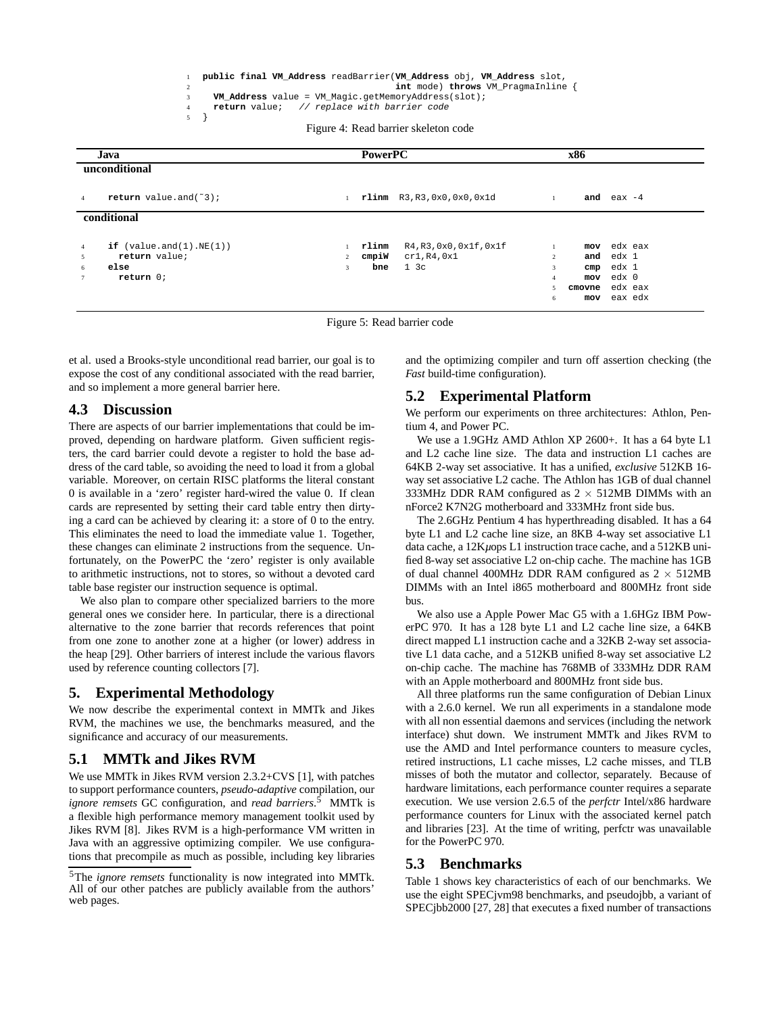**public final VM\_Address** readBarrier(**VM\_Address** obj, **VM\_Address** slot, **int** mode) **throws** VM\_PragmaInline { **VM\_Address** value = VM\_Magic.getMemoryAddress(slot); **return** value; // replace with barrier code 5 }

Figure 4: Read barrier skeleton code

| Java                                                     |                | <b>PowerPC</b> |                                 | <b>x86</b>     |     |                |
|----------------------------------------------------------|----------------|----------------|---------------------------------|----------------|-----|----------------|
| unconditional                                            |                |                |                                 |                |     |                |
| <b>return</b> value.and( $\degree$ 3);<br>$\overline{4}$ |                |                | $rlim$ $R3, R3, 0x0, 0x0, 0x1d$ |                |     | and $eax -4$   |
| conditional                                              |                |                |                                 |                |     |                |
| $if (value_and(1).NE(1))$<br>$\overline{4}$              |                | rlinm          | R4, R3, 0x0, 0x1f, 0x1f         |                |     | mov edx eax    |
| return value;<br>5                                       | $\mathfrak{D}$ | cmpiW          | cr1, R4, 0x1                    | 2              |     | and edx 1      |
| else<br>6                                                | $\mathbf{3}$   | bne            | 13c                             | 3              | cmp | edx 1          |
| return 0;<br>7                                           |                |                |                                 | $\overline{4}$ |     | mov edx 0      |
|                                                          |                |                |                                 | 5              |     | cmovne edx eax |
|                                                          |                |                |                                 | 6              | mov | eax edx        |

Figure 5: Read barrier code

et al. used a Brooks-style unconditional read barrier, our goal is to expose the cost of any conditional associated with the read barrier, and so implement a more general barrier here.

## **4.3 Discussion**

There are aspects of our barrier implementations that could be improved, depending on hardware platform. Given sufficient registers, the card barrier could devote a register to hold the base address of the card table, so avoiding the need to load it from a global variable. Moreover, on certain RISC platforms the literal constant 0 is available in a 'zero' register hard-wired the value 0. If clean cards are represented by setting their card table entry then dirtying a card can be achieved by clearing it: a store of 0 to the entry. This eliminates the need to load the immediate value 1. Together, these changes can eliminate 2 instructions from the sequence. Unfortunately, on the PowerPC the 'zero' register is only available to arithmetic instructions, not to stores, so without a devoted card table base register our instruction sequence is optimal.

We also plan to compare other specialized barriers to the more general ones we consider here. In particular, there is a directional alternative to the zone barrier that records references that point from one zone to another zone at a higher (or lower) address in the heap [29]. Other barriers of interest include the various flavors used by reference counting collectors [7].

#### **5. Experimental Methodology**

We now describe the experimental context in MMTk and Jikes RVM, the machines we use, the benchmarks measured, and the significance and accuracy of our measurements.

#### **5.1 MMTk and Jikes RVM**

We use MMTk in Jikes RVM version 2.3.2+CVS [1], with patches to support performance counters, *pseudo-adaptive* compilation, our *ignore remsets* GC configuration, and *read barriers*. <sup>5</sup> MMTk is a flexible high performance memory management toolkit used by Jikes RVM [8]. Jikes RVM is a high-performance VM written in Java with an aggressive optimizing compiler. We use configurations that precompile as much as possible, including key libraries and the optimizing compiler and turn off assertion checking (the *Fast* build-time configuration).

#### **5.2 Experimental Platform**

We perform our experiments on three architectures: Athlon, Pentium 4, and Power PC.

We use a 1.9GHz AMD Athlon XP 2600+. It has a 64 byte L1 and L2 cache line size. The data and instruction L1 caches are 64KB 2-way set associative. It has a unified, *exclusive* 512KB 16 way set associative L2 cache. The Athlon has 1GB of dual channel 333MHz DDR RAM configured as  $2 \times 512MB$  DIMMs with an nForce2 K7N2G motherboard and 333MHz front side bus.

The 2.6GHz Pentium 4 has hyperthreading disabled. It has a 64 byte L1 and L2 cache line size, an 8KB 4-way set associative L1 data cache, a 12K*µ*ops L1 instruction trace cache, and a 512KB unified 8-way set associative L2 on-chip cache. The machine has 1GB of dual channel 400MHz DDR RAM configured as  $2 \times 512MB$ DIMMs with an Intel i865 motherboard and 800MHz front side bus.

We also use a Apple Power Mac G5 with a 1.6HGz IBM PowerPC 970. It has a 128 byte L1 and L2 cache line size, a 64KB direct mapped L1 instruction cache and a 32KB 2-way set associative L1 data cache, and a 512KB unified 8-way set associative L2 on-chip cache. The machine has 768MB of 333MHz DDR RAM with an Apple motherboard and 800MHz front side bus.

All three platforms run the same configuration of Debian Linux with a 2.6.0 kernel. We run all experiments in a standalone mode with all non essential daemons and services (including the network interface) shut down. We instrument MMTk and Jikes RVM to use the AMD and Intel performance counters to measure cycles, retired instructions, L1 cache misses, L2 cache misses, and TLB misses of both the mutator and collector, separately. Because of hardware limitations, each performance counter requires a separate execution. We use version 2.6.5 of the *perfctr* Intel/x86 hardware performance counters for Linux with the associated kernel patch and libraries [23]. At the time of writing, perfctr was unavailable for the PowerPC 970.

#### **5.3 Benchmarks**

Table 1 shows key characteristics of each of our benchmarks. We use the eight SPECjvm98 benchmarks, and pseudojbb, a variant of SPECjbb2000 [27, 28] that executes a fixed number of transactions

<sup>5</sup>The *ignore remsets* functionality is now integrated into MMTk. All of our other patches are publicly available from the authors' web pages.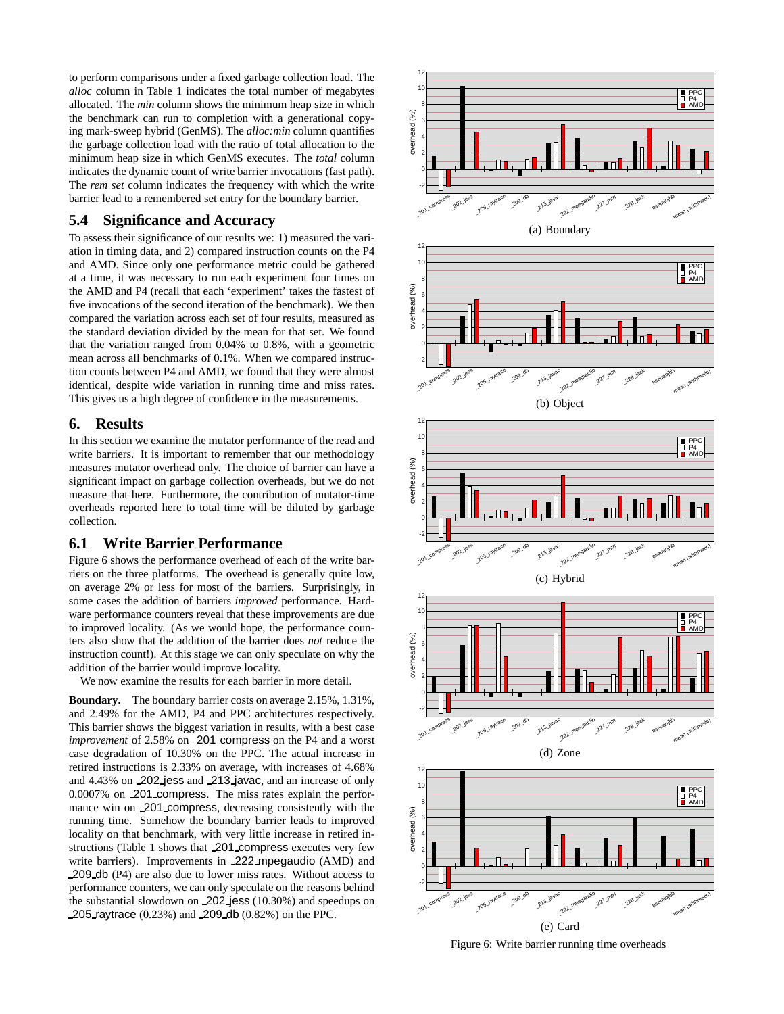to perform comparisons under a fixed garbage collection load. The *alloc* column in Table 1 indicates the total number of megabytes allocated. The *min* column shows the minimum heap size in which the benchmark can run to completion with a generational copying mark-sweep hybrid (GenMS). The *alloc:min* column quantifies the garbage collection load with the ratio of total allocation to the minimum heap size in which GenMS executes. The *total* column indicates the dynamic count of write barrier invocations (fast path). The *rem set* column indicates the frequency with which the write barrier lead to a remembered set entry for the boundary barrier.

# **5.4 Significance and Accuracy**

To assess their significance of our results we: 1) measured the variation in timing data, and 2) compared instruction counts on the P4 and AMD. Since only one performance metric could be gathered at a time, it was necessary to run each experiment four times on the AMD and P4 (recall that each 'experiment' takes the fastest of five invocations of the second iteration of the benchmark). We then compared the variation across each set of four results, measured as the standard deviation divided by the mean for that set. We found that the variation ranged from 0.04% to 0.8%, with a geometric mean across all benchmarks of 0.1%. When we compared instruction counts between P4 and AMD, we found that they were almost identical, despite wide variation in running time and miss rates. This gives us a high degree of confidence in the measurements.

## **6. Results**

In this section we examine the mutator performance of the read and write barriers. It is important to remember that our methodology measures mutator overhead only. The choice of barrier can have a significant impact on garbage collection overheads, but we do not measure that here. Furthermore, the contribution of mutator-time overheads reported here to total time will be diluted by garbage collection.

## **6.1 Write Barrier Performance**

Figure 6 shows the performance overhead of each of the write barriers on the three platforms. The overhead is generally quite low, on average 2% or less for most of the barriers. Surprisingly, in some cases the addition of barriers *improved* performance. Hardware performance counters reveal that these improvements are due to improved locality. (As we would hope, the performance counters also show that the addition of the barrier does *not* reduce the instruction count!). At this stage we can only speculate on why the addition of the barrier would improve locality.

We now examine the results for each barrier in more detail.

**Boundary.** The boundary barrier costs on average 2.15%, 1.31%, and 2.49% for the AMD, P4 and PPC architectures respectively. This barrier shows the biggest variation in results, with a best case *improvement* of 2.58% on 201 compress on the P4 and a worst case degradation of 10.30% on the PPC. The actual increase in retired instructions is 2.33% on average, with increases of 4.68% and 4.43% on 202 jess and 213 javac, and an increase of only 0.0007% on 201 compress. The miss rates explain the performance win on 201 compress, decreasing consistently with the running time. Somehow the boundary barrier leads to improved locality on that benchmark, with very little increase in retired instructions (Table 1 shows that 201 compress executes very few write barriers). Improvements in 222 mpegaudio (AMD) and 209 db (P4) are also due to lower miss rates. Without access to performance counters, we can only speculate on the reasons behind the substantial slowdown on 202 jess (10.30%) and speedups on 205 raytrace (0.23%) and 209 db (0.82%) on the PPC.



Figure 6: Write barrier running time overheads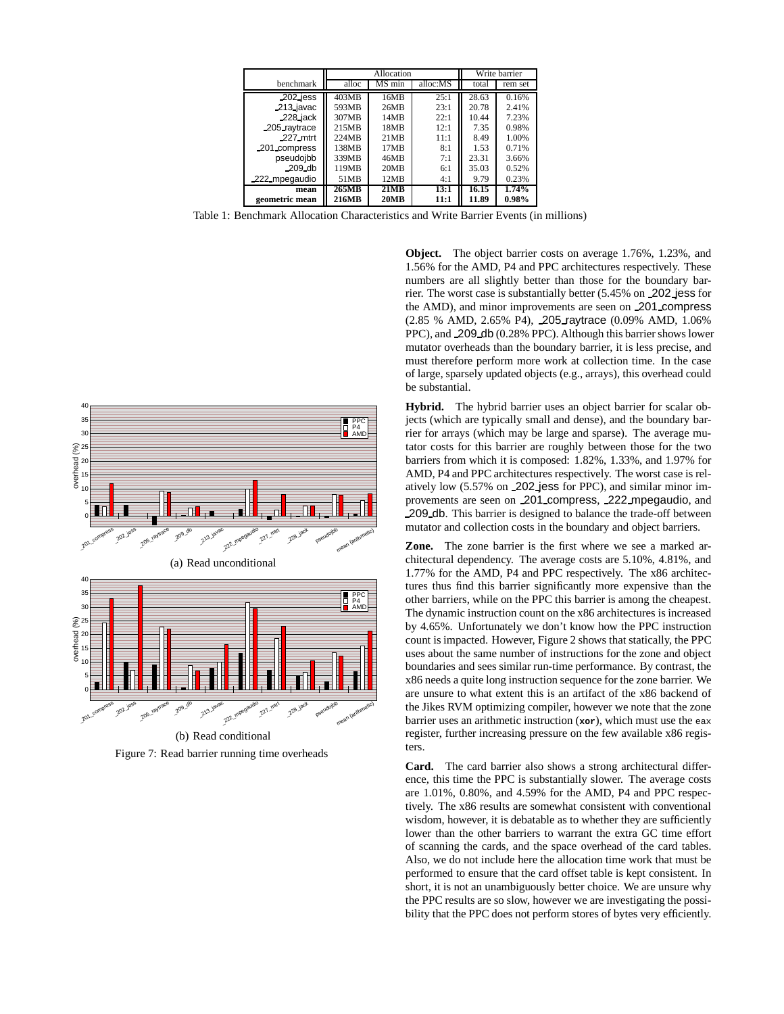|                     |       | Allocation                 | Write barrier |       |          |
|---------------------|-------|----------------------------|---------------|-------|----------|
| benchmark           | alloc | $\overline{\text{MS}}$ min | alloc:MS      | total | rem set  |
| $202$ jess          | 403MB | 16MB                       | 25:1          | 28.63 | 0.16%    |
| 213 javac           | 593MB | 26MB                       | 23:1          | 20.78 | 2.41%    |
| $228$ jack          | 307MB | 14MB                       | 22:1          | 10.44 | 7.23%    |
| 205 raytrace        | 215MB | 18MB                       | 12:1          | 7.35  | 0.98%    |
| $227$ _mtrt         | 224MB | 21MB                       | 11:1          | 8.49  | 1.00%    |
| 201 compress        | 138MB | 17MB                       | 8:1           | 1.53  | 0.71%    |
| pseudojbb           | 339MB | 46MB                       | 7:1           | 23.31 | 3.66%    |
| $209$ <sub>db</sub> | 119MB | 20MB                       | 6:1           | 35.03 | 0.52%    |
| 222 mpegaudio       | 51MB  | 12MB                       | 4:1           | 9.79  | 0.23%    |
| mean                | 265MB | 21MB                       | 13:1          | 16.15 | 1.74%    |
| geometric mean      | 216MB | 20MB                       | 11:1          | 11.89 | $0.98\%$ |

Table 1: Benchmark Allocation Characteristics and Write Barrier Events (in millions)



Figure 7: Read barrier running time overheads

**Object.** The object barrier costs on average 1.76%, 1.23%, and 1.56% for the AMD, P4 and PPC architectures respectively. These numbers are all slightly better than those for the boundary barrier. The worst case is substantially better (5.45% on 202 jess for the AMD), and minor improvements are seen on 201 compress (2.85 % AMD, 2.65% P4), 205 raytrace (0.09% AMD, 1.06% PPC), and 209 db (0.28% PPC). Although this barrier shows lower mutator overheads than the boundary barrier, it is less precise, and must therefore perform more work at collection time. In the case of large, sparsely updated objects (e.g., arrays), this overhead could be substantial.

**Hybrid.** The hybrid barrier uses an object barrier for scalar objects (which are typically small and dense), and the boundary barrier for arrays (which may be large and sparse). The average mutator costs for this barrier are roughly between those for the two barriers from which it is composed: 1.82%, 1.33%, and 1.97% for AMD, P4 and PPC architectures respectively. The worst case is relatively low (5.57% on 202 jess for PPC), and similar minor improvements are seen on 201 compress, 222 mpegaudio, and 209 db. This barrier is designed to balance the trade-off between mutator and collection costs in the boundary and object barriers.

**Zone.** The zone barrier is the first where we see a marked architectural dependency. The average costs are 5.10%, 4.81%, and 1.77% for the AMD, P4 and PPC respectively. The x86 architectures thus find this barrier significantly more expensive than the other barriers, while on the PPC this barrier is among the cheapest. The dynamic instruction count on the x86 architectures is increased by 4.65%. Unfortunately we don't know how the PPC instruction count is impacted. However, Figure 2 shows that statically, the PPC uses about the same number of instructions for the zone and object boundaries and sees similar run-time performance. By contrast, the x86 needs a quite long instruction sequence for the zone barrier. We are unsure to what extent this is an artifact of the x86 backend of the Jikes RVM optimizing compiler, however we note that the zone barrier uses an arithmetic instruction (**xor**), which must use the eax register, further increasing pressure on the few available x86 registers.

**Card.** The card barrier also shows a strong architectural difference, this time the PPC is substantially slower. The average costs are 1.01%, 0.80%, and 4.59% for the AMD, P4 and PPC respectively. The x86 results are somewhat consistent with conventional wisdom, however, it is debatable as to whether they are sufficiently lower than the other barriers to warrant the extra GC time effort of scanning the cards, and the space overhead of the card tables. Also, we do not include here the allocation time work that must be performed to ensure that the card offset table is kept consistent. In short, it is not an unambiguously better choice. We are unsure why the PPC results are so slow, however we are investigating the possibility that the PPC does not perform stores of bytes very efficiently.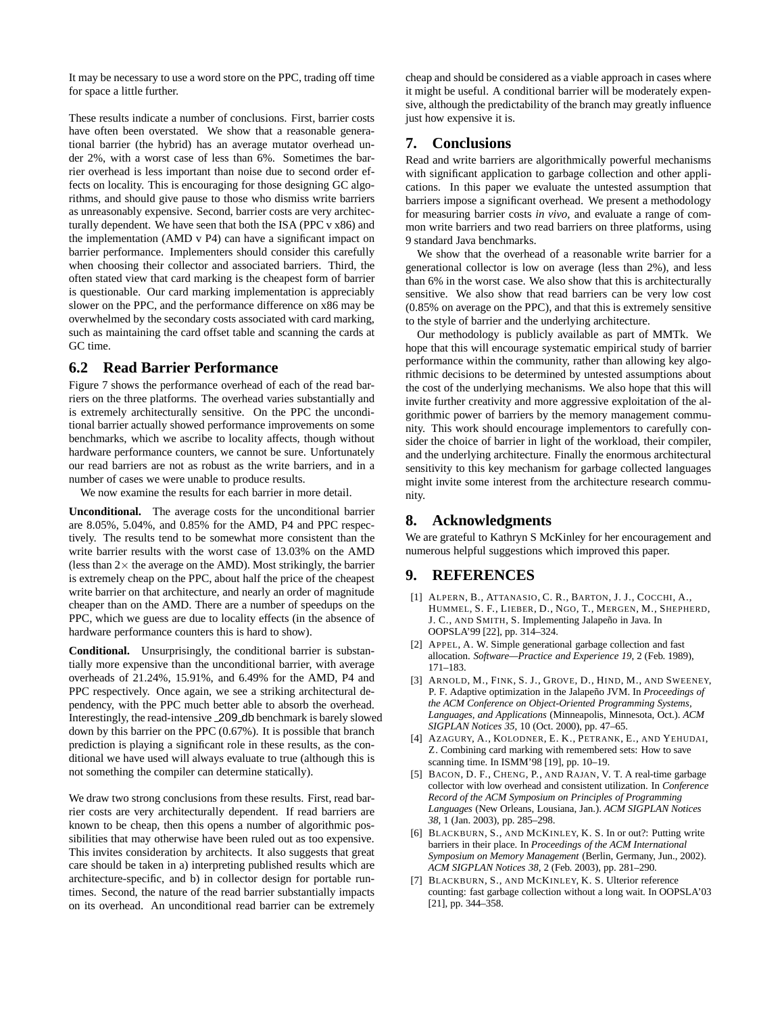It may be necessary to use a word store on the PPC, trading off time for space a little further.

These results indicate a number of conclusions. First, barrier costs have often been overstated. We show that a reasonable generational barrier (the hybrid) has an average mutator overhead under 2%, with a worst case of less than 6%. Sometimes the barrier overhead is less important than noise due to second order effects on locality. This is encouraging for those designing GC algorithms, and should give pause to those who dismiss write barriers as unreasonably expensive. Second, barrier costs are very architecturally dependent. We have seen that both the ISA (PPC v x86) and the implementation (AMD v P4) can have a significant impact on barrier performance. Implementers should consider this carefully when choosing their collector and associated barriers. Third, the often stated view that card marking is the cheapest form of barrier is questionable. Our card marking implementation is appreciably slower on the PPC, and the performance difference on x86 may be overwhelmed by the secondary costs associated with card marking, such as maintaining the card offset table and scanning the cards at GC time.

## **6.2 Read Barrier Performance**

Figure 7 shows the performance overhead of each of the read barriers on the three platforms. The overhead varies substantially and is extremely architecturally sensitive. On the PPC the unconditional barrier actually showed performance improvements on some benchmarks, which we ascribe to locality affects, though without hardware performance counters, we cannot be sure. Unfortunately our read barriers are not as robust as the write barriers, and in a number of cases we were unable to produce results.

We now examine the results for each barrier in more detail.

**Unconditional.** The average costs for the unconditional barrier are 8.05%, 5.04%, and 0.85% for the AMD, P4 and PPC respectively. The results tend to be somewhat more consistent than the write barrier results with the worst case of 13.03% on the AMD (less than  $2 \times$  the average on the AMD). Most strikingly, the barrier is extremely cheap on the PPC, about half the price of the cheapest write barrier on that architecture, and nearly an order of magnitude cheaper than on the AMD. There are a number of speedups on the PPC, which we guess are due to locality effects (in the absence of hardware performance counters this is hard to show).

**Conditional.** Unsurprisingly, the conditional barrier is substantially more expensive than the unconditional barrier, with average overheads of 21.24%, 15.91%, and 6.49% for the AMD, P4 and PPC respectively. Once again, we see a striking architectural dependency, with the PPC much better able to absorb the overhead. Interestingly, the read-intensive 209 db benchmark is barely slowed down by this barrier on the PPC (0.67%). It is possible that branch prediction is playing a significant role in these results, as the conditional we have used will always evaluate to true (although this is not something the compiler can determine statically).

We draw two strong conclusions from these results. First, read barrier costs are very architecturally dependent. If read barriers are known to be cheap, then this opens a number of algorithmic possibilities that may otherwise have been ruled out as too expensive. This invites consideration by architects. It also suggests that great care should be taken in a) interpreting published results which are architecture-specific, and b) in collector design for portable runtimes. Second, the nature of the read barrier substantially impacts on its overhead. An unconditional read barrier can be extremely

cheap and should be considered as a viable approach in cases where it might be useful. A conditional barrier will be moderately expensive, although the predictability of the branch may greatly influence just how expensive it is.

## **7. Conclusions**

Read and write barriers are algorithmically powerful mechanisms with significant application to garbage collection and other applications. In this paper we evaluate the untested assumption that barriers impose a significant overhead. We present a methodology for measuring barrier costs *in vivo*, and evaluate a range of common write barriers and two read barriers on three platforms, using 9 standard Java benchmarks.

We show that the overhead of a reasonable write barrier for a generational collector is low on average (less than 2%), and less than 6% in the worst case. We also show that this is architecturally sensitive. We also show that read barriers can be very low cost (0.85% on average on the PPC), and that this is extremely sensitive to the style of barrier and the underlying architecture.

Our methodology is publicly available as part of MMTk. We hope that this will encourage systematic empirical study of barrier performance within the community, rather than allowing key algorithmic decisions to be determined by untested assumptions about the cost of the underlying mechanisms. We also hope that this will invite further creativity and more aggressive exploitation of the algorithmic power of barriers by the memory management community. This work should encourage implementors to carefully consider the choice of barrier in light of the workload, their compiler, and the underlying architecture. Finally the enormous architectural sensitivity to this key mechanism for garbage collected languages might invite some interest from the architecture research community.

## **8. Acknowledgments**

We are grateful to Kathryn S McKinley for her encouragement and numerous helpful suggestions which improved this paper.

## **9. REFERENCES**

- [1] ALPERN, B., ATTANASIO, C. R., BARTON, J. J., COCCHI, A., HUMMEL, S. F., LIEBER, D., NGO, T., MERGEN, M., SHEPHERD, J. C., AND SMITH, S. Implementing Jalapeño in Java. In OOPSLA'99 [22], pp. 314–324.
- [2] APPEL, A. W. Simple generational garbage collection and fast allocation. *Software—Practice and Experience 19*, 2 (Feb. 1989), 171–183.
- [3] ARNOLD, M., FINK, S. J., GROVE, D., HIND, M., AND SWEENEY, P. F. Adaptive optimization in the Jalapeño JVM. In *Proceedings of the ACM Conference on Object-Oriented Programming Systems, Languages, and Applications* (Minneapolis, Minnesota, Oct.). *ACM SIGPLAN Notices 35*, 10 (Oct. 2000), pp. 47–65.
- [4] AZAGURY, A., KOLODNER, E. K., PETRANK, E., AND YEHUDAI, Z. Combining card marking with remembered sets: How to save scanning time. In ISMM'98 [19], pp. 10–19.
- [5] BACON, D. F., CHENG, P., AND RAJAN, V. T. A real-time garbage collector with low overhead and consistent utilization. In *Conference Record of the ACM Symposium on Principles of Programming Languages* (New Orleans, Lousiana, Jan.). *ACM SIGPLAN Notices 38*, 1 (Jan. 2003), pp. 285–298.
- [6] BLACKBURN, S., AND MCKINLEY, K. S. In or out?: Putting write barriers in their place. In *Proceedings of the ACM International Symposium on Memory Management* (Berlin, Germany, Jun., 2002). *ACM SIGPLAN Notices 38*, 2 (Feb. 2003), pp. 281–290.
- [7] BLACKBURN, S., AND MCKINLEY, K. S. Ulterior reference counting: fast garbage collection without a long wait. In OOPSLA'03 [21], pp. 344–358.